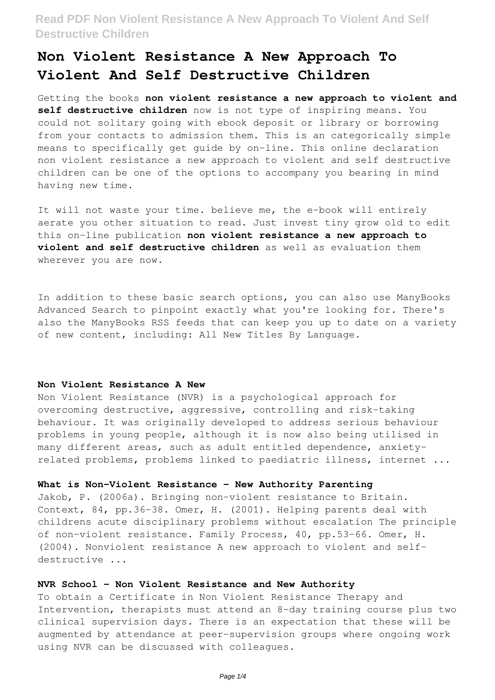# **Non Violent Resistance A New Approach To Violent And Self Destructive Children**

Getting the books **non violent resistance a new approach to violent and self destructive children** now is not type of inspiring means. You could not solitary going with ebook deposit or library or borrowing from your contacts to admission them. This is an categorically simple means to specifically get guide by on-line. This online declaration non violent resistance a new approach to violent and self destructive children can be one of the options to accompany you bearing in mind having new time.

It will not waste your time. believe me, the e-book will entirely aerate you other situation to read. Just invest tiny grow old to edit this on-line publication **non violent resistance a new approach to violent and self destructive children** as well as evaluation them wherever you are now.

In addition to these basic search options, you can also use ManyBooks Advanced Search to pinpoint exactly what you're looking for. There's also the ManyBooks RSS feeds that can keep you up to date on a variety of new content, including: All New Titles By Language.

#### **Non Violent Resistance A New**

Non Violent Resistance (NVR) is a psychological approach for overcoming destructive, aggressive, controlling and risk-taking behaviour. It was originally developed to address serious behaviour problems in young people, although it is now also being utilised in many different areas, such as adult entitled dependence, anxietyrelated problems, problems linked to paediatric illness, internet ...

#### **What is Non-Violent Resistance - New Authority Parenting**

Jakob, P. (2006a). Bringing non-violent resistance to Britain. Context, 84, pp.36-38. Omer, H. (2001). Helping parents deal with childrens acute disciplinary problems without escalation The principle of non-violent resistance. Family Process, 40, pp.53-66. Omer, H. (2004). Nonviolent resistance A new approach to violent and selfdestructive ...

#### **NVR School - Non Violent Resistance and New Authority**

To obtain a Certificate in Non Violent Resistance Therapy and Intervention, therapists must attend an 8-day training course plus two clinical supervision days. There is an expectation that these will be augmented by attendance at peer-supervision groups where ongoing work using NVR can be discussed with colleagues.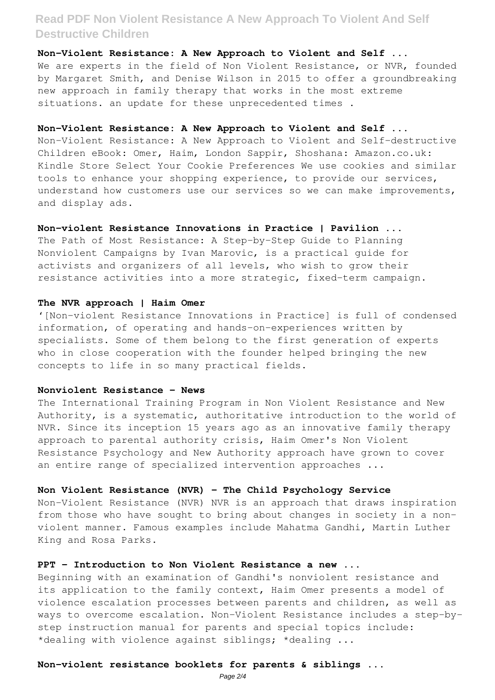**Non-Violent Resistance: A New Approach to Violent and Self ...** We are experts in the field of Non Violent Resistance, or NVR, founded by Margaret Smith, and Denise Wilson in 2015 to offer a groundbreaking new approach in family therapy that works in the most extreme situations. an update for these unprecedented times .

#### **Non-Violent Resistance: A New Approach to Violent and Self ...**

Non-Violent Resistance: A New Approach to Violent and Self-destructive Children eBook: Omer, Haim, London Sappir, Shoshana: Amazon.co.uk: Kindle Store Select Your Cookie Preferences We use cookies and similar tools to enhance your shopping experience, to provide our services, understand how customers use our services so we can make improvements, and display ads.

#### **Non-violent Resistance Innovations in Practice | Pavilion ...**

The Path of Most Resistance: A Step-by-Step Guide to Planning Nonviolent Campaigns by Ivan Marovic, is a practical guide for activists and organizers of all levels, who wish to grow their resistance activities into a more strategic, fixed-term campaign.

#### **The NVR approach | Haim Omer**

'[Non-violent Resistance Innovations in Practice] is full of condensed information, of operating and hands-on-experiences written by specialists. Some of them belong to the first generation of experts who in close cooperation with the founder helped bringing the new concepts to life in so many practical fields.

#### **Nonviolent Resistance - News**

The International Training Program in Non Violent Resistance and New Authority, is a systematic, authoritative introduction to the world of NVR. Since its inception 15 years ago as an innovative family therapy approach to parental authority crisis, Haim Omer's Non Violent Resistance Psychology and New Authority approach have grown to cover an entire range of specialized intervention approaches ...

#### **Non Violent Resistance (NVR) - The Child Psychology Service**

Non-Violent Resistance (NVR) NVR is an approach that draws inspiration from those who have sought to bring about changes in society in a nonviolent manner. Famous examples include Mahatma Gandhi, Martin Luther King and Rosa Parks.

## **PPT – Introduction to Non Violent Resistance a new ...**

Beginning with an examination of Gandhi's nonviolent resistance and its application to the family context, Haim Omer presents a model of violence escalation processes between parents and children, as well as ways to overcome escalation. Non-Violent Resistance includes a step-bystep instruction manual for parents and special topics include: \*dealing with violence against siblings; \*dealing ...

#### **Non-violent resistance booklets for parents & siblings ...**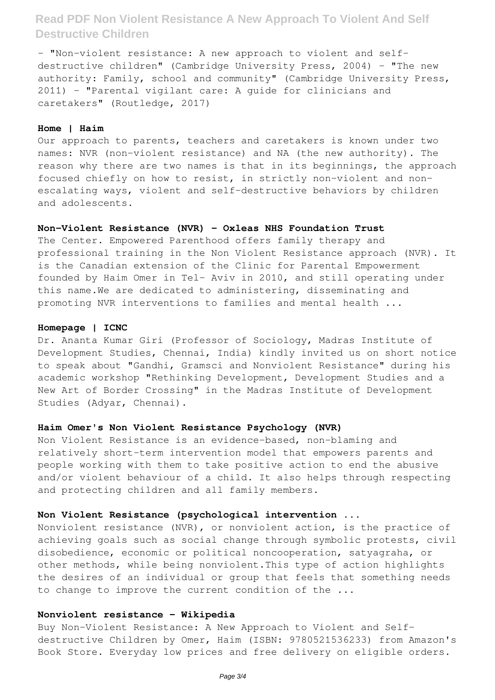- "Non-violent resistance: A new approach to violent and selfdestructive children" (Cambridge University Press, 2004) - "The new authority: Family, school and community" (Cambridge University Press, 2011) - "Parental vigilant care: A guide for clinicians and caretakers" (Routledge, 2017)

#### **Home | Haim**

Our approach to parents, teachers and caretakers is known under two names: NVR (non-violent resistance) and NA (the new authority). The reason why there are two names is that in its beginnings, the approach focused chiefly on how to resist, in strictly non-violent and nonescalating ways, violent and self-destructive behaviors by children and adolescents.

#### **Non-Violent Resistance (NVR) - Oxleas NHS Foundation Trust**

The Center. Empowered Parenthood offers family therapy and professional training in the Non Violent Resistance approach (NVR). It is the Canadian extension of the Clinic for Parental Empowerment founded by Haim Omer in Tel- Aviv in 2010, and still operating under this name.We are dedicated to administering, disseminating and promoting NVR interventions to families and mental health ...

#### **Homepage | ICNC**

Dr. Ananta Kumar Giri (Professor of Sociology, Madras Institute of Development Studies, Chennai, India) kindly invited us on short notice to speak about "Gandhi, Gramsci and Nonviolent Resistance" during his academic workshop "Rethinking Development, Development Studies and a New Art of Border Crossing" in the Madras Institute of Development Studies (Adyar, Chennai).

#### **Haim Omer's Non Violent Resistance Psychology (NVR)**

Non Violent Resistance is an evidence-based, non-blaming and relatively short-term intervention model that empowers parents and people working with them to take positive action to end the abusive and/or violent behaviour of a child. It also helps through respecting and protecting children and all family members.

### **Non Violent Resistance (psychological intervention ...**

Nonviolent resistance (NVR), or nonviolent action, is the practice of achieving goals such as social change through symbolic protests, civil disobedience, economic or political noncooperation, satyagraha, or other methods, while being nonviolent.This type of action highlights the desires of an individual or group that feels that something needs to change to improve the current condition of the ...

### **Nonviolent resistance - Wikipedia**

Buy Non-Violent Resistance: A New Approach to Violent and Selfdestructive Children by Omer, Haim (ISBN: 9780521536233) from Amazon's Book Store. Everyday low prices and free delivery on eligible orders.